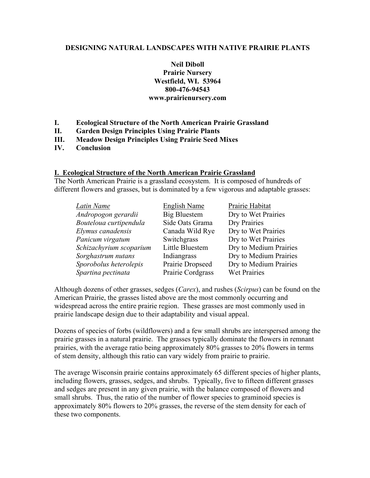# **DESIGNING NATURAL LANDSCAPES WITH NATIVE PRAIRIE PLANTS**

# **Neil Diboll Prairie Nursery Westfield, WI. 53964 800-476-94543 www.prairienursery.com**

- **I. Ecological Structure of the North American Prairie Grassland**
- **II. Garden Design Principles Using Prairie Plants**
- **III. Meadow Design Principles Using Prairie Seed Mixes**
- **IV. Conclusion**

# **I. Ecological Structure of the North American Prairie Grassland**

The North American Prairie is a grassland ecosystem. It is composed of hundreds of different flowers and grasses, but is dominated by a few vigorous and adaptable grasses:

| Latin Name              | <b>English Name</b> | Prairie Habitat        |
|-------------------------|---------------------|------------------------|
| Andropogon gerardii     | Big Bluestem        | Dry to Wet Prairies    |
| Bouteloua curtipendula  | Side Oats Grama     | Dry Prairies           |
| Elymus canadensis       | Canada Wild Rye     | Dry to Wet Prairies    |
| Panicum virgatum        | Switchgrass         | Dry to Wet Prairies    |
| Schizachyrium scoparium | Little Bluestem     | Dry to Medium Prairies |
| Sorghastrum nutans      | Indiangrass         | Dry to Medium Prairies |
| Sporobolus heterolepis  | Prairie Dropseed    | Dry to Medium Prairies |
| Spartina pectinata      | Prairie Cordgrass   | Wet Prairies           |

Although dozens of other grasses, sedges (*Carex*), and rushes (*Scirpus*) can be found on the American Prairie, the grasses listed above are the most commonly occurring and widespread across the entire prairie region. These grasses are most commonly used in prairie landscape design due to their adaptability and visual appeal.

Dozens of species of forbs (wildflowers) and a few small shrubs are interspersed among the prairie grasses in a natural prairie. The grasses typically dominate the flowers in remnant prairies, with the average ratio being approximately 80% grasses to 20% flowers in terms of stem density, although this ratio can vary widely from prairie to prairie.

The average Wisconsin prairie contains approximately 65 different species of higher plants, including flowers, grasses, sedges, and shrubs. Typically, five to fifteen different grasses and sedges are present in any given prairie, with the balance composed of flowers and small shrubs. Thus, the ratio of the number of flower species to graminoid species is approximately 80% flowers to 20% grasses, the reverse of the stem density for each of these two components.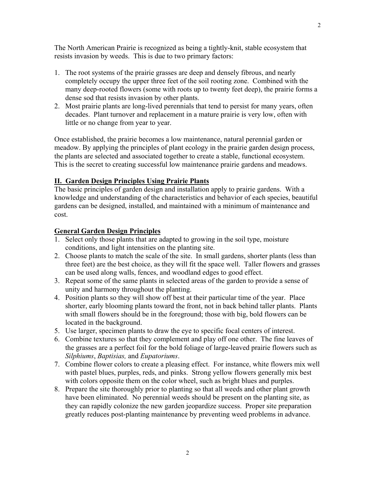The North American Prairie is recognized as being a tightly-knit, stable ecosystem that resists invasion by weeds. This is due to two primary factors:

- 1. The root systems of the prairie grasses are deep and densely fibrous, and nearly completely occupy the upper three feet of the soil rooting zone. Combined with the many deep-rooted flowers (some with roots up to twenty feet deep), the prairie forms a dense sod that resists invasion by other plants.
- 2. Most prairie plants are long-lived perennials that tend to persist for many years, often decades. Plant turnover and replacement in a mature prairie is very low, often with little or no change from year to year.

Once established, the prairie becomes a low maintenance, natural perennial garden or meadow. By applying the principles of plant ecology in the prairie garden design process, the plants are selected and associated together to create a stable, functional ecosystem. This is the secret to creating successful low maintenance prairie gardens and meadows.

# **II. Garden Design Principles Using Prairie Plants**

The basic principles of garden design and installation apply to prairie gardens. With a knowledge and understanding of the characteristics and behavior of each species, beautiful gardens can be designed, installed, and maintained with a minimum of maintenance and cost.

# **General Garden Design Principles**

- 1. Select only those plants that are adapted to growing in the soil type, moisture conditions, and light intensities on the planting site.
- 2. Choose plants to match the scale of the site. In small gardens, shorter plants (less than three feet) are the best choice, as they will fit the space well. Taller flowers and grasses can be used along walls, fences, and woodland edges to good effect.
- 3. Repeat some of the same plants in selected areas of the garden to provide a sense of unity and harmony throughout the planting.
- 4. Position plants so they will show off best at their particular time of the year. Place shorter, early blooming plants toward the front, not in back behind taller plants. Plants with small flowers should be in the foreground; those with big, bold flowers can be located in the background.
- 5. Use larger, specimen plants to draw the eye to specific focal centers of interest.
- 6. Combine textures so that they complement and play off one other. The fine leaves of the grasses are a perfect foil for the bold foliage of large-leaved prairie flowers such as *Silphiums*, *Baptisias,* and *Eupatoriums*.
- 7. Combine flower colors to create a pleasing effect. For instance, white flowers mix well with pastel blues, purples, reds, and pinks. Strong yellow flowers generally mix best with colors opposite them on the color wheel, such as bright blues and purples.
- 8. Prepare the site thoroughly prior to planting so that all weeds and other plant growth have been eliminated. No perennial weeds should be present on the planting site, as they can rapidly colonize the new garden jeopardize success. Proper site preparation greatly reduces post-planting maintenance by preventing weed problems in advance.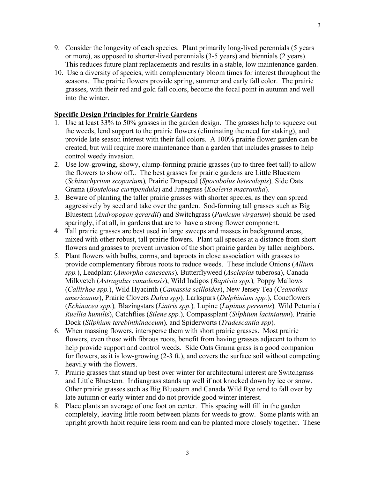- 9. Consider the longevity of each species. Plant primarily long-lived perennials (5 years or more), as opposed to shorter-lived perennials (3-5 years) and biennials (2 years). This reduces future plant replacements and results in a stable, low maintenance garden.
- 10. Use a diversity of species, with complementary bloom times for interest throughout the seasons. The prairie flowers provide spring, summer and early fall color. The prairie grasses, with their red and gold fall colors, become the focal point in autumn and well into the winter.

# **Specific Design Principles for Prairie Gardens**

- 1. Use at least 33% to 50% grasses in the garden design. The grasses help to squeeze out the weeds, lend support to the prairie flowers (eliminating the need for staking), and provide late season interest with their fall colors. A 100% prairie flower garden can be created, but will require more maintenance than a garden that includes grasses to help control weedy invasion.
- 2. Use low-growing, showy, clump-forming prairie grasses (up to three feet tall) to allow the flowers to show off.. The best grasses for prairie gardens are Little Bluestem (*Schizachyrium scoparium*)*,* Prairie Dropseed (*Sporobolus heterolepis*)*,* Side Oats Grama (*Bouteloua curtipendula*) and Junegrass (*Koeleria macrantha*).
- 3. Beware of planting the taller prairie grasses with shorter species, as they can spread aggressively by seed and take over the garden. Sod-forming tall grasses such as Big Bluestem (*Andropogon gerardii*) and Switchgrass (*Panicum virgatum*) should be used sparingly, if at all, in gardens that are to have a strong flower component.
- 4. Tall prairie grasses are best used in large sweeps and masses in background areas, mixed with other robust, tall prairie flowers. Plant tall species at a distance from short flowers and grasses to prevent invasion of the short prairie garden by taller neighbors.
- 5. Plant flowers with bulbs, corms, and taproots in close association with grasses to provide complementary fibrous roots to reduce weeds. These include Onions (*Allium spp.*), Leadplant (*Amorpha canescens*)*,* Butterflyweed (*Asclepias* tuberosa), Canada Milkvetch (*Astragalus canadensis*), Wild Indigos (*Baptisia spp.*)*,* Poppy Mallows (*Callirhoe spp.*), Wild Hyacinth (*Camassia scilloides*), New Jersey Tea (*Ceanothus americanus*), Prairie Clovers *Dalea spp*)*,* Larkspurs (*Delphinium spp.*), Coneflowers (*Echinacea spp.*)*,* Blazingstars (*Liatris spp.*)*,* Lupine (*Lupinus perennis*)*,* Wild Petunia ( *Ruellia humilis*), Catchflies (*Silene spp.*)*,* Compassplant (*Silphium laciniatum*)*,* Prairie Dock (*Silphium terebinthinaceum*)*,* and Spiderworts (*Tradescantia spp*)*.*
- 6. When massing flowers, intersperse them with short prairie grasses. Most prairie flowers, even those with fibrous roots, benefit from having grasses adjacent to them to help provide support and control weeds. Side Oats Grama grass is a good companion for flowers, as it is low-growing (2-3 ft.), and covers the surface soil without competing heavily with the flowers.
- 7. Prairie grasses that stand up best over winter for architectural interest are Switchgrass and Little Bluestem*.* Indiangrass stands up well if not knocked down by ice or snow. Other prairie grasses such as Big Bluestem and Canada Wild Rye tend to fall over by late autumn or early winter and do not provide good winter interest.
- 8. Place plants an average of one foot on center. This spacing will fill in the garden completely, leaving little room between plants for weeds to grow. Some plants with an upright growth habit require less room and can be planted more closely together. These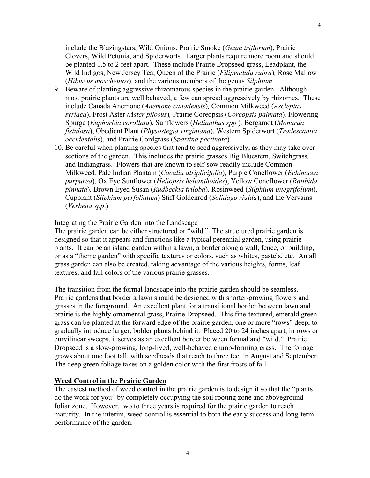include the Blazingstars, Wild Onions, Prairie Smoke (*Geum triflorum*), Prairie Clovers, Wild Petunia, and Spiderworts. Larger plants require more room and should be planted 1.5 to 2 feet apart. These include Prairie Dropseed grass, Leadplant, the Wild Indigos, New Jersey Tea, Queen of the Prairie (*Filipendula rubra*)*,* Rose Mallow (*Hibiscus moscheutos*), and the various members of the genus *Silphium*.

- 9. Beware of planting aggressive rhizomatous species in the prairie garden. Although most prairie plants are well behaved, a few can spread aggressively by rhizomes. These include Canada Anemone (*Anemone canadensis*)*,* Common Milkweed (*Asclepias syriaca*), Frost Aster *(Aster pilosus*)*,* Prairie Coreopsis (*Coreopsis palmata*)*,* Flowering Spurge (*Euphorbia corollata*), Sunflowers (*Helianthus spp.*)*,* Bergamot (*Monarda fistulosa*), Obedient Plant (*Physostegia virginiana*), Western Spiderwort (*Tradescantia occidentalis*), and Prairie Cordgrass (*Spartina pectinata*)*.*
- 10. Be careful when planting species that tend to seed aggressively, as they may take over sections of the garden. This includes the prairie grasses Big Bluestem*,* Switchgrass*,*  and Indiangrass. Flowers that are known to self-sow readily include Common Milkweed*,* Pale Indian Plantain (*Cacalia atriplicifolia*)*,* Purple Coneflower (*Echinacea purpurea*)*,* Ox Eye Sunflower (*Heliopsis helianthoides*), Yellow Coneflower (*Ratibida pinnata*)*,* Brown Eyed Susan (*Rudbeckia triloba*)*,* Rosinweed (*Silphium integrifolium*), Cupplant (*Silphium perfoliatum*) Stiff Goldenrod (*Solidago rigida*), and the Vervains (*Verbena spp*.)

#### Integrating the Prairie Garden into the Landscape

The prairie garden can be either structured or "wild." The structured prairie garden is designed so that it appears and functions like a typical perennial garden, using prairie plants. It can be an island garden within a lawn, a border along a wall, fence, or building, or as a "theme garden" with specific textures or colors, such as whites, pastels, etc. An all grass garden can also be created, taking advantage of the various heights, forms, leaf textures, and fall colors of the various prairie grasses.

The transition from the formal landscape into the prairie garden should be seamless. Prairie gardens that border a lawn should be designed with shorter-growing flowers and grasses in the foreground. An excellent plant for a transitional border between lawn and prairie is the highly ornamental grass, Prairie Dropseed. This fine-textured, emerald green grass can be planted at the forward edge of the prairie garden, one or more "rows" deep, to gradually introduce larger, bolder plants behind it. Placed 20 to 24 inches apart, in rows or curvilinear sweeps, it serves as an excellent border between formal and "wild." Prairie Dropseed is a slow-growing, long-lived, well-behaved clump-forming grass. The foliage grows about one foot tall, with seedheads that reach to three feet in August and September. The deep green foliage takes on a golden color with the first frosts of fall.

#### **Weed Control in the Prairie Garden**

The easiest method of weed control in the prairie garden is to design it so that the "plants" do the work for you" by completely occupying the soil rooting zone and aboveground foliar zone. However, two to three years is required for the prairie garden to reach maturity. In the interim, weed control is essential to both the early success and long-term performance of the garden.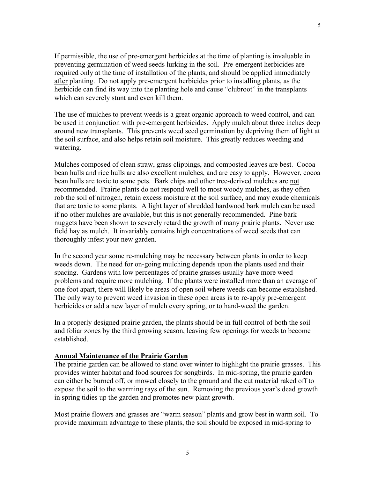If permissible, the use of pre-emergent herbicides at the time of planting is invaluable in preventing germination of weed seeds lurking in the soil. Pre-emergent herbicides are required only at the time of installation of the plants, and should be applied immediately after planting. Do not apply pre-emergent herbicides prior to installing plants, as the herbicide can find its way into the planting hole and cause "clubroot" in the transplants which can severely stunt and even kill them.

The use of mulches to prevent weeds is a great organic approach to weed control, and can be used in conjunction with pre-emergent herbicides. Apply mulch about three inches deep around new transplants. This prevents weed seed germination by depriving them of light at the soil surface, and also helps retain soil moisture. This greatly reduces weeding and watering.

Mulches composed of clean straw, grass clippings, and composted leaves are best. Cocoa bean hulls and rice hulls are also excellent mulches, and are easy to apply. However, cocoa bean hulls are toxic to some pets. Bark chips and other tree-derived mulches are not recommended. Prairie plants do not respond well to most woody mulches, as they often rob the soil of nitrogen, retain excess moisture at the soil surface, and may exude chemicals that are toxic to some plants. A light layer of shredded hardwood bark mulch can be used if no other mulches are available, but this is not generally recommended. Pine bark nuggets have been shown to severely retard the growth of many prairie plants. Never use field hay as mulch. It invariably contains high concentrations of weed seeds that can thoroughly infest your new garden.

In the second year some re-mulching may be necessary between plants in order to keep weeds down. The need for on-going mulching depends upon the plants used and their spacing. Gardens with low percentages of prairie grasses usually have more weed problems and require more mulching. If the plants were installed more than an average of one foot apart, there will likely be areas of open soil where weeds can become established. The only way to prevent weed invasion in these open areas is to re-apply pre-emergent herbicides or add a new layer of mulch every spring, or to hand-weed the garden.

In a properly designed prairie garden, the plants should be in full control of both the soil and foliar zones by the third growing season, leaving few openings for weeds to become established.

## **Annual Maintenance of the Prairie Garden**

The prairie garden can be allowed to stand over winter to highlight the prairie grasses. This provides winter habitat and food sources for songbirds. In mid-spring, the prairie garden can either be burned off, or mowed closely to the ground and the cut material raked off to expose the soil to the warming rays of the sun. Removing the previous year's dead growth in spring tidies up the garden and promotes new plant growth.

Most prairie flowers and grasses are "warm season" plants and grow best in warm soil. To provide maximum advantage to these plants, the soil should be exposed in mid-spring to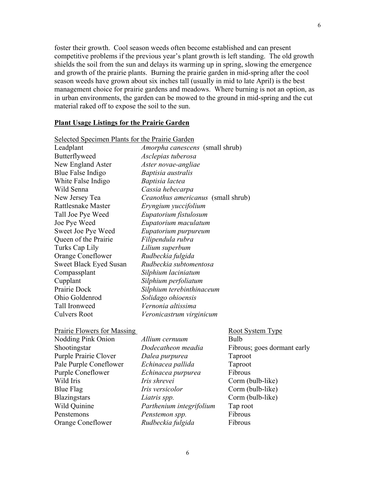foster their growth. Cool season weeds often become established and can present competitive problems if the previous year's plant growth is left standing. The old growth shields the soil from the sun and delays its warming up in spring, slowing the emergence and growth of the prairie plants. Burning the prairie garden in mid-spring after the cool season weeds have grown about six inches tall (usually in mid to late April) is the best management choice for prairie gardens and meadows. Where burning is not an option, as in urban environments, the garden can be mowed to the ground in mid-spring and the cut material raked off to expose the soil to the sun.

#### **Plant Usage Listings for the Prairie Garden**

| Selected Specimen Plants for the Prairie Garden |                                    |                         |
|-------------------------------------------------|------------------------------------|-------------------------|
| Leadplant                                       | Amorpha canescens (small shrub)    |                         |
| Butterflyweed                                   | Asclepias tuberosa                 |                         |
| New England Aster                               | Aster novae-angliae                |                         |
| Blue False Indigo                               | Baptisia australis                 |                         |
| White False Indigo                              | Baptisia lactea                    |                         |
| Wild Senna                                      | Cassia hebecarpa                   |                         |
| New Jersey Tea                                  | Ceanothus americanus (small shrub) |                         |
| Rattlesnake Master                              | Eryngium yuccifolium               |                         |
| Tall Joe Pye Weed                               | Eupatorium fistulosum              |                         |
| Joe Pye Weed                                    | Eupatorium maculatum               |                         |
| Sweet Joe Pye Weed                              | Eupatorium purpureum               |                         |
| Queen of the Prairie                            | Filipendula rubra                  |                         |
| Turks Cap Lily                                  | Lilium superbum                    |                         |
| <b>Orange Coneflower</b>                        | Rudbeckia fulgida                  |                         |
| <b>Sweet Black Eyed Susan</b>                   | Rudbeckia subtomentosa             |                         |
| Compassplant                                    | Silphium laciniatum                |                         |
| Cupplant                                        | Silphium perfoliatum               |                         |
| Prairie Dock                                    | Silphium terebinthinaceum          |                         |
| Ohio Goldenrod                                  | Solidago ohioensis                 |                         |
| Tall Ironweed                                   | Vernonia altissima                 |                         |
| <b>Culvers Root</b>                             | Veronicastrum virginicum           |                         |
| <b>Prairie Flowers for Massing</b>              |                                    | <b>Root System Type</b> |
| Nodding Pink Onion                              | Allium cernuum                     | <b>Bulb</b>             |
| Shootingstar                                    | Dodecatheon meadia                 | Fibrous; goes dorn      |
| Purple Prairie Clover                           | Dalea purpurea                     | Taproot                 |
| Pale Purple Coneflower                          | Echinacea pallida                  | Taproot                 |
| Purple Coneflower                               | Echinacea purpurea                 | Fibrous                 |
| Wild Iris                                       | Iris shrevei                       | Corm (bulb-like)        |
| <b>Blue Flag</b>                                | Iris versicolor                    | Corm (bulb-like)        |
| <b>Blazingstars</b>                             | Liatris spp.                       | Corm (bulb-like)        |
| Wild Quinine                                    | Parthenium integrifolium           | Tap root                |

es dormant early Penstemons *Penstemon spp.* Fibrous Orange Coneflower *Rudbeckia fulgida* Fibrous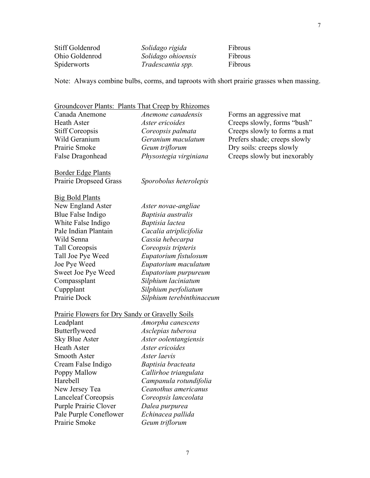| Stiff Goldenrod | Solidago rigida    | Fibrous |
|-----------------|--------------------|---------|
| Ohio Goldenrod  | Solidago ohioensis | Fibrous |
| Spiderworts     | Tradescantia spp.  | Fibrous |

Note: Always combine bulbs, corms, and taproots with short prairie grasses when massing.

# Groundcover Plants: Plants That Creep by Rhizomes Canada Anemone *Anemone canadensis* Forms an aggressive mat Heath Aster *Aster ericoides* Creeps slowly, forms "bush" Stiff Coreopsis *Coreopsis palmata* **Creeps** slowly to forms a mat Wild Geranium *Geranium maculatum* Prefers shade; creeps slowly Prairie Smoke *Geum triflorum* Dry soils: creeps slowly False Dragonhead *Physostegia virginiana* Creeps slowly but inexorably Border Edge Plants Prairie Dropseed Grass *Sporobolus heterolepis*  Big Bold Plants New England Aster *Aster novae-angliae*  Blue False Indigo *Baptisia australis*  White False Indigo *Baptisia lactea*  Pale Indian Plantain *Cacalia atriplicifolia*  Wild Senna *Cassia hebecarpa*  Tall Coreopsis *Coreopsis tripteris* Tall Joe Pye Weed *Eupatorium fistulosum*  Joe Pye Weed *Eupatorium maculatum*  Sweet Joe Pye Weed *Eupatorium purpureum* Compassplant *Silphium laciniatum*  Cuppplant *Silphium perfoliatum*  Prairie Dock *Silphium terebinthinaceum*  Prairie Flowers for Dry Sandy or Gravelly Soils Leadplant *Amorpha canescens*  Butterflyweed *Asclepias tuberosa*  Sky Blue Aster *Aster oolentangiensis*  Heath Aster *Aster ericoides*  Smooth Aster *Aster laevis*  Cream False Indigo *Baptisia bracteata*  Poppy Mallow *Callirhoe triangulata*

Harebell *Campanula rotundifolia*  New Jersey Tea *Ceanothus americanus*  Lanceleaf Coreopsis *Coreopsis lanceolata*  Purple Prairie Clover *Dalea purpurea*  Pale Purple Coneflower *Echinacea pallida*  Prairie Smoke *Geum triflorum*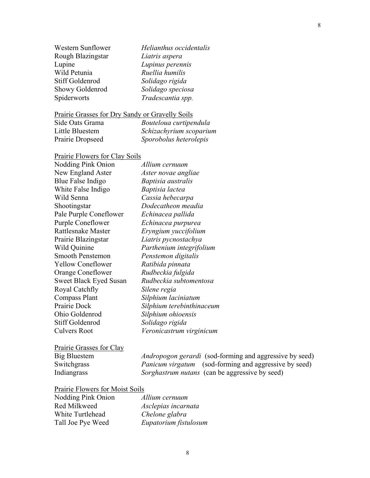| <i>Heuaninus occiaeniaii</i> |
|------------------------------|
| Liatris aspera               |
| Lupinus perennis             |
| Ruellia humilis              |
| Solidago rigida              |
| Solidago speciosa            |
| Tradescantia spp.            |

# Prairie Grasses for Dry Sandy or Gravelly Soils

| Side Oats Grama  | Bouteloua curtipendula  |
|------------------|-------------------------|
| Little Bluestem  | Schizachyrium scoparium |
| Prairie Dropseed | Sporobolus heterolepis  |

# Prairie Flowers for Clay Soils

Lupine *Lupinus perennis*  Wild Petunia *Ruellia humilis*  Stiff Goldenrod *Solidago rigida* 

Showy Goldenrod *Solidago speciosa* 

| <b>Nodding Pink Onion</b> | Allium cernuum            |
|---------------------------|---------------------------|
| New England Aster         | Aster novae angliae       |
| Blue False Indigo         | Baptisia australis        |
| White False Indigo        | Baptisia lactea           |
| Wild Senna                | Cassia hebecarpa          |
| Shootingstar              | Dodecatheon meadia        |
| Pale Purple Coneflower    | Echinacea pallida         |
| <b>Purple Coneflower</b>  | Echinacea purpurea        |
| Rattlesnake Master        | Eryngium yuccifolium      |
| Prairie Blazingstar       | Liatris pycnostachya      |
| Wild Quinine              | Parthenium integrifolium  |
| <b>Smooth Penstemon</b>   | Penstemon digitalis       |
| <b>Yellow Coneflower</b>  | Ratibida pinnata          |
| <b>Orange Coneflower</b>  | Rudbeckia fulgida         |
| Sweet Black Eyed Susan    | Rudbeckia subtomentosa    |
| Royal Catchfly            | Silene regia              |
| Compass Plant             | Silphium laciniatum       |
| Prairie Dock              | Silphium terebinthinaceum |
| Ohio Goldenrod            | Silphium ohioensis        |
| <b>Stiff Goldenrod</b>    | Solidago rigida           |
| <b>Culvers Root</b>       | Veronicastrum virginicum  |
|                           |                           |

Prairie Grasses for Clay<br>Big Bluestem

Andropogon gerardi (sod-forming and aggressive by seed) Switchgrass *Panicum virgatum* (sod-forming and aggressive by seed) Indiangrass *Sorghastrum nutans* (can be aggressive by seed)

Prairie Flowers for Moist Soils

| Nodding Pink Onion | Allium cernuum        |
|--------------------|-----------------------|
| Red Milkweed       | Asclepias incarnata   |
| White Turtlehead   | Chelone glabra        |
| Tall Joe Pye Weed  | Eupatorium fistulosum |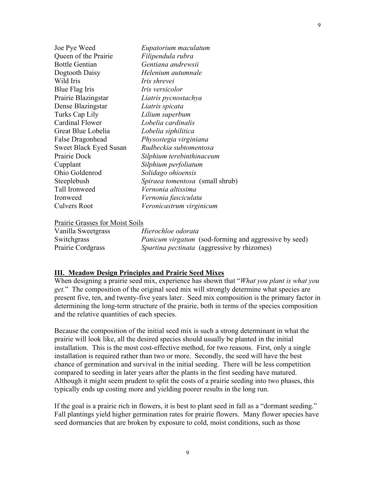| Joe Pye Weed                  | Eupatorium maculatum                   |
|-------------------------------|----------------------------------------|
| Queen of the Prairie          | Filipendula rubra                      |
| <b>Bottle Gentian</b>         | Gentiana andrewsii                     |
| Dogtooth Daisy                | Helenium autumnale                     |
| Wild Iris                     | Iris shrevei                           |
| Blue Flag Iris                | <i>Iris versicolor</i>                 |
| Prairie Blazingstar           | Liatris pycnostachya                   |
| Dense Blazingstar             | Liatris spicata                        |
| Turks Cap Lily                | Lilium superbum                        |
| <b>Cardinal Flower</b>        | Lobelia cardinalis                     |
| Great Blue Lobelia            | Lobelia siphilitica                    |
| False Dragonhead              | Physostegia virginiana                 |
| <b>Sweet Black Eyed Susan</b> | Rudbeckia subtomentosa                 |
| Prairie Dock                  | Silphium terebinthinaceum              |
| Cupplant                      | Silphium perfoliatum                   |
| Ohio Goldenrod                | Solidago ohioensis                     |
| Steeplebush                   | <i>Spiraea tomentosa</i> (small shrub) |
| Tall Ironweed                 | Vernonia altissima                     |
| Ironweed                      | Vernonia fasciculata                   |
| Culvers Root                  | Veronicastrum virginicum               |

## Prairie Grasses for Moist Soils

| Vanilla Sweetgrass | Hierochloe odorata                                           |
|--------------------|--------------------------------------------------------------|
| Switchgrass        | <i>Panicum virgatum</i> (sod-forming and aggressive by seed) |
| Prairie Cordgrass  | <i>Spartina pectinata</i> (aggressive by rhizomes)           |

## **III. Meadow Design Principles and Prairie Seed Mixes**

When designing a prairie seed mix, experience has shown that "*What you plant is what you get.*" The composition of the original seed mix will strongly determine what species are present five, ten, and twenty-five years later. Seed mix composition is the primary factor in determining the long-term structure of the prairie, both in terms of the species composition and the relative quantities of each species.

Because the composition of the initial seed mix is such a strong determinant in what the prairie will look like, all the desired species should usually be planted in the initial installation. This is the most cost-effective method, for two reasons. First, only a single installation is required rather than two or more. Secondly, the seed will have the best chance of germination and survival in the initial seeding. There will be less competition compared to seeding in later years after the plants in the first seeding have matured. Although it might seem prudent to split the costs of a prairie seeding into two phases, this typically ends up costing more and yielding poorer results in the long run.

If the goal is a prairie rich in flowers, it is best to plant seed in fall as a "dormant seeding." Fall plantings yield higher germination rates for prairie flowers. Many flower species have seed dormancies that are broken by exposure to cold, moist conditions, such as those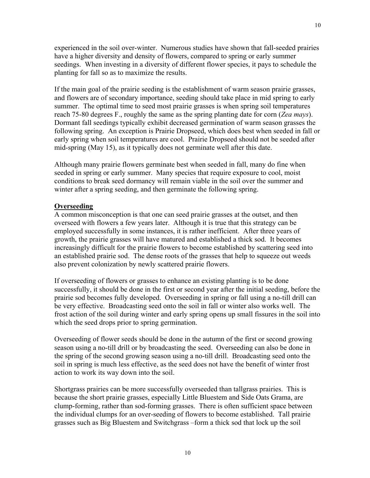experienced in the soil over-winter. Numerous studies have shown that fall-seeded prairies have a higher diversity and density of flowers, compared to spring or early summer seedings. When investing in a diversity of different flower species, it pays to schedule the planting for fall so as to maximize the results.

If the main goal of the prairie seeding is the establishment of warm season prairie grasses, and flowers are of secondary importance, seeding should take place in mid spring to early summer. The optimal time to seed most prairie grasses is when spring soil temperatures reach 75-80 degrees F., roughly the same as the spring planting date for corn (*Zea mays*). Dormant fall seedings typically exhibit decreased germination of warm season grasses the following spring. An exception is Prairie Dropseed, which does best when seeded in fall or early spring when soil temperatures are cool. Prairie Dropseed should not be seeded after mid-spring (May 15), as it typically does not germinate well after this date.

Although many prairie flowers germinate best when seeded in fall, many do fine when seeded in spring or early summer. Many species that require exposure to cool, moist conditions to break seed dormancy will remain viable in the soil over the summer and winter after a spring seeding, and then germinate the following spring.

## **Overseeding**

A common misconception is that one can seed prairie grasses at the outset, and then overseed with flowers a few years later. Although it is true that this strategy can be employed successfully in some instances, it is rather inefficient. After three years of growth, the prairie grasses will have matured and established a thick sod. It becomes increasingly difficult for the prairie flowers to become established by scattering seed into an established prairie sod. The dense roots of the grasses that help to squeeze out weeds also prevent colonization by newly scattered prairie flowers.

If overseeding of flowers or grasses to enhance an existing planting is to be done successfully, it should be done in the first or second year after the initial seeding, before the prairie sod becomes fully developed. Overseeding in spring or fall using a no-till drill can be very effective. Broadcasting seed onto the soil in fall or winter also works well. The frost action of the soil during winter and early spring opens up small fissures in the soil into which the seed drops prior to spring germination.

Overseeding of flower seeds should be done in the autumn of the first or second growing season using a no-till drill or by broadcasting the seed. Overseeding can also be done in the spring of the second growing season using a no-till drill. Broadcasting seed onto the soil in spring is much less effective, as the seed does not have the benefit of winter frost action to work its way down into the soil.

Shortgrass prairies can be more successfully overseeded than tallgrass prairies. This is because the short prairie grasses, especially Little Bluestem and Side Oats Grama, are clump-forming, rather than sod-forming grasses. There is often sufficient space between the individual clumps for an over-seeding of flowers to become established. Tall prairie grasses such as Big Bluestem and Switchgrass –form a thick sod that lock up the soil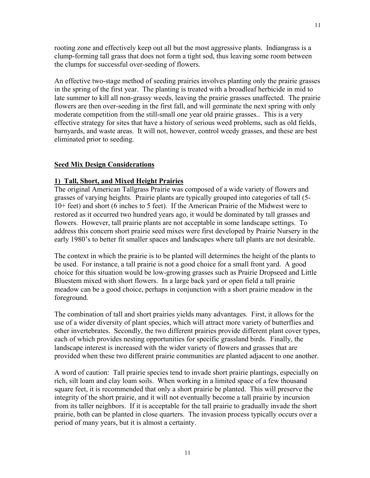rooting zone and effectively keep out all but the most aggressive plants. Indiangrass is a clump-forming tall grass that does not form a tight sod, thus leaving some room between the clumps for successful over-seeding of flowers.

An effective two-stage method of seeding prairies involves planting only the prairie grasses in the spring of the first year. The planting is treated with a broadleaf herbicide in mid to late summer to kill all non-grassy weeds, leaving the prairie grasses unaffected. The prairie flowers are then over-seeding in the first fall, and will germinate the next spring with only moderate competition from the still-small one year old prairie grasses.. This is a very effective strategy for sites that have a history of serious weed problems, such as old fields, barnyards, and waste areas. It will not, however, control weedy grasses, and these are best eliminated prior to seeding.

## **Seed Mix Design Considerations**

## **1) Tall, Short, and Mixed Height Prairies**

The original American Tallgrass Prairie was composed of a wide variety of flowers and grasses of varying heights. Prairie plants are typically grouped into categories of tall (5- 10+ feet) and short (6 inches to 5 feet). If the American Prairie of the Midwest were to restored as it occurred two hundred years ago, it would be dominated by tall grasses and flowers. However, tall prairie plants are not acceptable in some landscape settings. To address this concern short prairie seed mixes were first developed by Prairie Nursery in the early 1980's to better fit smaller spaces and landscapes where tall plants are not desirable.

The context in which the prairie is to be planted will determines the height of the plants to be used. For instance, a tall prairie is not a good choice for a small front yard. A good choice for this situation would be low-growing grasses such as Prairie Dropseed and Little Bluestem mixed with short flowers. In a large back yard or open field a tall prairie meadow can be a good choice, perhaps in conjunction with a short prairie meadow in the foreground.

The combination of tall and short prairies yields many advantages. First, it allows for the use of a wider diversity of plant species, which will attract more variety of butterflies and other invertebrates. Secondly, the two different prairies provide different plant cover types, each of which provides nesting opportunities for specific grassland birds. Finally, the landscape interest is increased with the wider variety of flowers and grasses that are provided when these two different prairie communities are planted adjacent to one another.

A word of caution: Tall prairie species tend to invade short prairie plantings, especially on rich, silt loam and clay loam soils. When working in a limited space of a few thousand square feet, it is recommended that only a short prairie be planted. This will preserve the integrity of the short prairie, and it will not eventually become a tall prairie by incursion from its taller neighbors. If it is acceptable for the tall prairie to gradually invade the short prairie, both can be planted in close quarters. The invasion process typically occurs over a period of many years, but it is almost a certainty.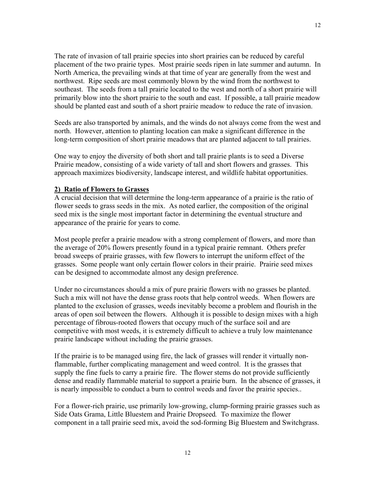The rate of invasion of tall prairie species into short prairies can be reduced by careful placement of the two prairie types. Most prairie seeds ripen in late summer and autumn. In North America, the prevailing winds at that time of year are generally from the west and northwest. Ripe seeds are most commonly blown by the wind from the northwest to southeast. The seeds from a tall prairie located to the west and north of a short prairie will primarily blow into the short prairie to the south and east. If possible, a tall prairie meadow should be planted east and south of a short prairie meadow to reduce the rate of invasion.

Seeds are also transported by animals, and the winds do not always come from the west and north. However, attention to planting location can make a significant difference in the long-term composition of short prairie meadows that are planted adjacent to tall prairies.

One way to enjoy the diversity of both short and tall prairie plants is to seed a Diverse Prairie meadow, consisting of a wide variety of tall and short flowers and grasses. This approach maximizes biodiversity, landscape interest, and wildlife habitat opportunities.

# **2) Ratio of Flowers to Grasses**

A crucial decision that will determine the long-term appearance of a prairie is the ratio of flower seeds to grass seeds in the mix. As noted earlier, the composition of the original seed mix is the single most important factor in determining the eventual structure and appearance of the prairie for years to come.

Most people prefer a prairie meadow with a strong complement of flowers, and more than the average of 20% flowers presently found in a typical prairie remnant. Others prefer broad sweeps of prairie grasses, with few flowers to interrupt the uniform effect of the grasses. Some people want only certain flower colors in their prairie. Prairie seed mixes can be designed to accommodate almost any design preference.

Under no circumstances should a mix of pure prairie flowers with no grasses be planted. Such a mix will not have the dense grass roots that help control weeds. When flowers are planted to the exclusion of grasses, weeds inevitably become a problem and flourish in the areas of open soil between the flowers. Although it is possible to design mixes with a high percentage of fibrous-rooted flowers that occupy much of the surface soil and are competitive with most weeds, it is extremely difficult to achieve a truly low maintenance prairie landscape without including the prairie grasses.

If the prairie is to be managed using fire, the lack of grasses will render it virtually nonflammable, further complicating management and weed control. It is the grasses that supply the fine fuels to carry a prairie fire. The flower stems do not provide sufficiently dense and readily flammable material to support a prairie burn. In the absence of grasses, it is nearly impossible to conduct a burn to control weeds and favor the prairie species..

For a flower-rich prairie, use primarily low-growing, clump-forming prairie grasses such as Side Oats Grama, Little Bluestem and Prairie Dropseed*.* To maximize the flower component in a tall prairie seed mix, avoid the sod-forming Big Bluestem and Switchgrass.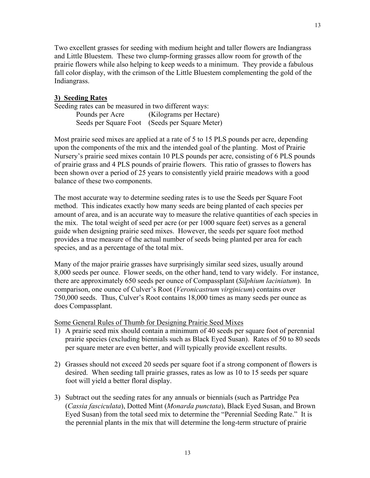Two excellent grasses for seeding with medium height and taller flowers are Indiangrass and Little Bluestem. These two clump-forming grasses allow room for growth of the prairie flowers while also helping to keep weeds to a minimum. They provide a fabulous fall color display, with the crimson of the Little Bluestem complementing the gold of the Indiangrass.

## **3) Seeding Rates**

Seeding rates can be measured in two different ways: Pounds per Acre (Kilograms per Hectare) Seeds per Square Foot (Seeds per Square Meter)

Most prairie seed mixes are applied at a rate of 5 to 15 PLS pounds per acre, depending upon the components of the mix and the intended goal of the planting. Most of Prairie Nursery's prairie seed mixes contain 10 PLS pounds per acre, consisting of 6 PLS pounds of prairie grass and 4 PLS pounds of prairie flowers. This ratio of grasses to flowers has been shown over a period of 25 years to consistently yield prairie meadows with a good balance of these two components.

The most accurate way to determine seeding rates is to use the Seeds per Square Foot method. This indicates exactly how many seeds are being planted of each species per amount of area, and is an accurate way to measure the relative quantities of each species in the mix. The total weight of seed per acre (or per 1000 square feet) serves as a general guide when designing prairie seed mixes. However, the seeds per square foot method provides a true measure of the actual number of seeds being planted per area for each species, and as a percentage of the total mix.

Many of the major prairie grasses have surprisingly similar seed sizes, usually around 8,000 seeds per ounce. Flower seeds, on the other hand, tend to vary widely. For instance, there are approximately 650 seeds per ounce of Compassplant (*Silphium laciniatum*). In comparison, one ounce of Culver's Root (*Veronicastrum virginicum*) contains over 750,000 seeds. Thus, Culver's Root contains 18,000 times as many seeds per ounce as does Compassplant.

Some General Rules of Thumb for Designing Prairie Seed Mixes

- 1) A prairie seed mix should contain a minimum of 40 seeds per square foot of perennial prairie species (excluding biennials such as Black Eyed Susan). Rates of 50 to 80 seeds per square meter are even better, and will typically provide excellent results.
- 2) Grasses should not exceed 20 seeds per square foot if a strong component of flowers is desired. When seeding tall prairie grasses, rates as low as 10 to 15 seeds per square foot will yield a better floral display.
- 3) Subtract out the seeding rates for any annuals or biennials (such as Partridge Pea (*Cassia fasciculata*), Dotted Mint (*Monarda punctata*), Black Eyed Susan, and Brown Eyed Susan) from the total seed mix to determine the "Perennial Seeding Rate." It is the perennial plants in the mix that will determine the long-term structure of prairie

13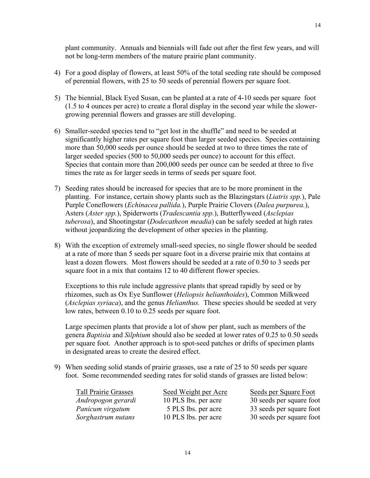plant community. Annuals and biennials will fade out after the first few years, and will not be long-term members of the mature prairie plant community.

- 4) For a good display of flowers, at least 50% of the total seeding rate should be composed of perennial flowers, with 25 to 50 seeds of perennial flowers per square foot.
- 5) The biennial, Black Eyed Susan, can be planted at a rate of 4-10 seeds per square foot (1.5 to 4 ounces per acre) to create a floral display in the second year while the slowergrowing perennial flowers and grasses are still developing.
- 6) Smaller-seeded species tend to "get lost in the shuffle" and need to be seeded at significantly higher rates per square foot than larger seeded species. Species containing more than 50,000 seeds per ounce should be seeded at two to three times the rate of larger seeded species (500 to 50,000 seeds per ounce) to account for this effect. Species that contain more than 200,000 seeds per ounce can be seeded at three to five times the rate as for larger seeds in terms of seeds per square foot.
- 7) Seeding rates should be increased for species that are to be more prominent in the planting. For instance, certain showy plants such as the Blazingstars (*Liatris spp.*), Pale Purple Coneflowers (*Echinacea pallida.*), Purple Prairie Clovers (*Dalea purpurea.*), Asters (*Aster spp.*), Spiderworts (*Tradescantia spp.*), Butterflyweed (*Asclepias tuberosa*), and Shootingstar (*Dodecatheon meadia*) can be safely seeded at high rates without jeopardizing the development of other species in the planting.
- 8) With the exception of extremely small-seed species, no single flower should be seeded at a rate of more than 5 seeds per square foot in a diverse prairie mix that contains at least a dozen flowers. Most flowers should be seeded at a rate of 0.50 to 3 seeds per square foot in a mix that contains 12 to 40 different flower species.

Exceptions to this rule include aggressive plants that spread rapidly by seed or by rhizomes, such as Ox Eye Sunflower (*Heliopsis helianthoides*), Common Milkweed (*Asclepias syriaca*), and the genus *Helianthus.* These species should be seeded at very low rates, between 0.10 to 0.25 seeds per square foot.

Large specimen plants that provide a lot of show per plant, such as members of the genera *Baptisia* and *Silphium* should also be seeded at lower rates of 0.25 to 0.50 seeds per square foot. Another approach is to spot-seed patches or drifts of specimen plants in designated areas to create the desired effect.

9) When seeding solid stands of prairie grasses, use a rate of 25 to 50 seeds per square foot. Some recommended seeding rates for solid stands of grasses are listed below:

| <b>Tall Prairie Grasses</b> | Seed Weight per Acre | Seeds per Square Foot    |
|-----------------------------|----------------------|--------------------------|
| Andropogon gerardi          | 10 PLS lbs. per acre | 30 seeds per square foot |
| Panicum virgatum            | 5 PLS lbs. per acre  | 33 seeds per square foot |
| Sorghastrum nutans          | 10 PLS lbs. per acre | 30 seeds per square foot |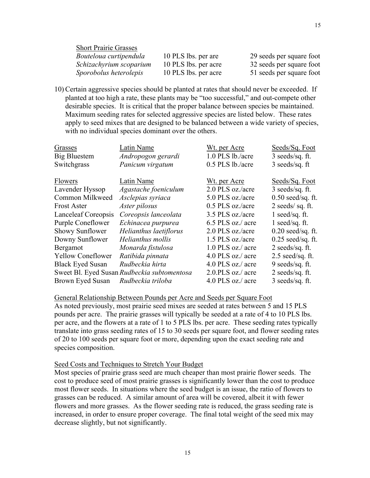Short Prairie Grasses *Bouteloua curtipendula* 10 PLS lbs. per are 29 seeds per square foot *Schizachyrium scoparium* 10 PLS lbs. per acre 32 seeds per square foot *Sporobolus heterolepis* 10 PLS lbs. per acre 51 seeds per square foot

10) Certain aggressive species should be planted at rates that should never be exceeded. If planted at too high a rate, these plants may be "too successful," and out-compete other desirable species. It is critical that the proper balance between species be maintained. Maximum seeding rates for selected aggressive species are listed below. These rates apply to seed mixes that are designed to be balanced between a wide variety of species, with no individual species dominant over the others.

| Latin Name             | <u>Wt. per Acre</u>                         | Seeds/Sq. Foot      |
|------------------------|---------------------------------------------|---------------------|
| Andropogon gerardi     | 1.0 PLS lb./acre                            | $3$ seeds/sq. ft.   |
| Panicum virgatum       | 0.5 PLS lb./acre                            | 3 seeds/sq. ft      |
|                        |                                             |                     |
| Latin Name             | Wt. per Acre                                | Seeds/Sq. Foot      |
| Agastache foeniculum   | 2.0 PLS oz./acre                            | $3$ seeds/sq. ft.   |
| Asclepias syriaca      | 5.0 PLS oz./acre                            | $0.50$ seed/sq. ft. |
| Aster pilosus          | 0.5 PLS oz./acre                            | $2$ seeds/sq. ft.   |
| Coreopsis lanceolata   | 3.5 PLS oz./acre                            | 1 seed/sq. $ft$ .   |
| Echinacea purpurea     | 6.5 PLS oz./ acre                           | 1 seed/sq. $ft$ .   |
| Helianthus laetiflorus | 2.0 PLS oz./acre                            | $0.20$ seed/sq. ft. |
| Helianthus mollis      | 1.5 PLS oz./acre                            | $0.25$ seed/sq. ft. |
| Monarda fistulosa      | 1.0 PLS oz./ acre                           | $2$ seeds/sq. ft.   |
| Ratibida pinnata       | 4.0 PLS oz./ acre                           | $2.5$ seed/sq. ft.  |
| Rudbeckia hirta        | 4.0 PLS oz./ acre                           | 9 seeds/sq. ft.     |
|                        | 2.0.PLS oz./ acre                           | $2$ seeds/sq. ft.   |
| Rudbeckia triloba      | 4.0 PLS oz./ acre                           | 3 seeds/sq. ft.     |
|                        | Sweet Bl. Eyed Susan Rudbeckia subtomentosa |                     |

General Relationship Between Pounds per Acre and Seeds per Square Foot

As noted previously, most prairie seed mixes are seeded at rates between 5 and 15 PLS pounds per acre. The prairie grasses will typically be seeded at a rate of 4 to 10 PLS lbs. per acre, and the flowers at a rate of 1 to 5 PLS lbs. per acre. These seeding rates typically translate into grass seeding rates of 15 to 30 seeds per square foot, and flower seeding rates of 20 to 100 seeds per square foot or more, depending upon the exact seeding rate and species composition.

## Seed Costs and Techniques to Stretch Your Budget

Most species of prairie grass seed are much cheaper than most prairie flower seeds. The cost to produce seed of most prairie grasses is significantly lower than the cost to produce most flower seeds. In situations where the seed budget is an issue, the ratio of flowers to grasses can be reduced. A similar amount of area will be covered, albeit it with fewer flowers and more grasses. As the flower seeding rate is reduced, the grass seeding rate is increased, in order to ensure proper coverage. The final total weight of the seed mix may decrease slightly, but not significantly.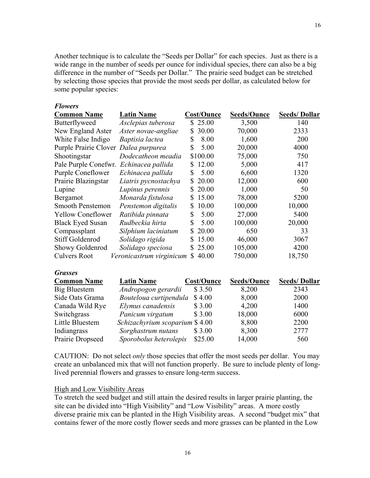Another technique is to calculate the "Seeds per Dollar" for each species. Just as there is a wide range in the number of seeds per ounce for individual species, there can also be a big difference in the number of "Seeds per Dollar." The prairie seed budget can be stretched by selecting those species that provide the most seeds per dollar, as calculated below for some popular species:

16

#### *Flowers*

| <b>Common Name</b>       | <b>Latin Name</b>        | <b>Cost/Ounce</b> | <b>Seeds/Ounce</b> | <b>Seeds/Dollar</b> |
|--------------------------|--------------------------|-------------------|--------------------|---------------------|
| Butterflyweed            | Asclepias tuberosa       | \$25.00           | 3,500              | 140                 |
| New England Aster        | Aster novae-angliae      | \$30.00           | 70,000             | 2333                |
| White False Indigo       | Baptisia lactea          | 8.00<br>S         | 1,600              | 200                 |
| Purple Prairie Clover    | Dalea purpurea           | 5.00<br>S         | 20,000             | 4000                |
| Shootingstar             | Dodecatheon meadia       | \$100.00          | 75,000             | 750                 |
| Pale Purple Conefwr.     | Echinacea pallida        | 12.00<br>S.       | 5,000              | 417                 |
| <b>Purple Coneflower</b> | Echinacea pallida        | 5.00<br>S         | 6,600              | 1320                |
| Prairie Blazingstar      | Liatris pycnostachya     | 20.00<br>S.       | 12,000             | 600                 |
| Lupine                   | Lupinus perennis         | 20.00<br>S.       | 1,000              | 50                  |
| <b>Bergamot</b>          | Monarda fistulosa        | 15.00<br>S.       | 78,000             | 5200                |
| Smooth Penstemon         | Penstemon digitalis      | 10.00<br>S.       | 100,000            | 10,000              |
| <b>Yellow Coneflower</b> | Ratibida pinnata         | \$<br>5.00        | 27,000             | 5400                |
| <b>Black Eyed Susan</b>  | Rudbeckia hirta          | \$<br>5.00        | 100,000            | 20,000              |
| Compassplant             | Silphium laciniatum      | \$20.00           | 650                | 33                  |
| <b>Stiff Goldenrod</b>   | Solidago rigida          | 15.00<br>S.       | 46,000             | 3067                |
| Showy Goldenrod          | Solidago speciosa        | \$25.00           | 105,000            | 4200                |
| <b>Culvers Root</b>      | Veronicastrum virginicum | 40.00<br>\$       | 750,000            | 18,750              |

| <b>Common Name</b> | <b>Latin Name</b>              | Cost/Ounce | <b>Seeds/Ounce</b> | <b>Seeds/Dollar</b> |
|--------------------|--------------------------------|------------|--------------------|---------------------|
| Big Bluestem       | Andropogon gerardii            | \$3.50     | 8,200              | 2343                |
| Side Oats Grama    | Bouteloua curtipendula         | \$4.00     | 8,000              | 2000                |
| Canada Wild Rye    | Elymus canadensis              | \$3.00     | 4,200              | 1400                |
| Switchgrass        | Panicum virgatum               | \$3.00     | 18,000             | 6000                |
| Little Bluestem    | Schizachyrium scoparium \$4.00 |            | 8,800              | 2200                |
| Indiangrass        | Sorghastrum nutans             | \$3.00     | 8,300              | 2777                |
| Prairie Dropseed   | Sporobolus heterolepis         | \$25.00    | 14,000             | 560                 |

CAUTION: Do not select *only* those species that offer the most seeds per dollar. You may create an unbalanced mix that will not function properly. Be sure to include plenty of longlived perennial flowers and grasses to ensure long-term success.

## High and Low Visibility Areas

To stretch the seed budget and still attain the desired results in larger prairie planting, the site can be divided into "High Visibility" and "Low Visibility" areas. A more costly diverse prairie mix can be planted in the High Visibility areas. A second "budget mix" that contains fewer of the more costly flower seeds and more grasses can be planted in the Low